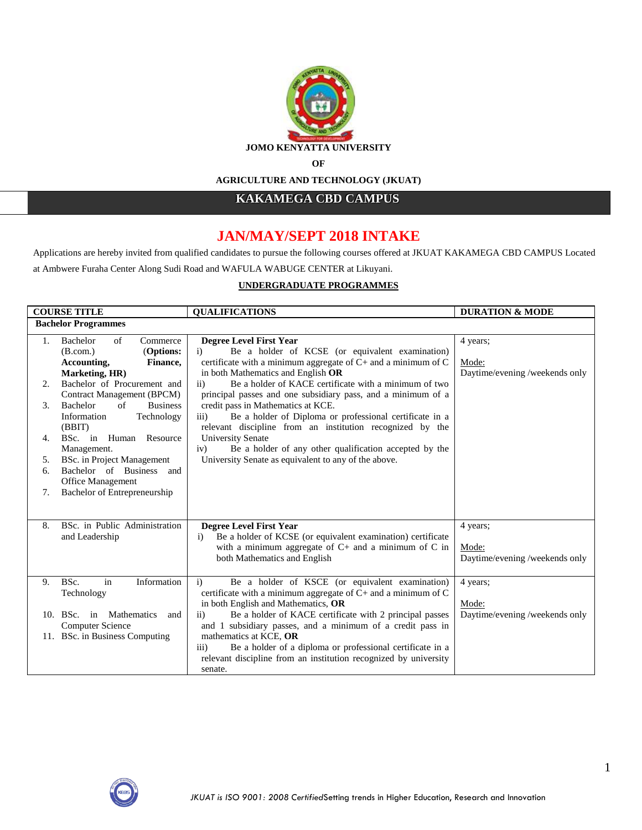

**AGRICULTURE AND TECHNOLOGY (JKUAT)**

**KAKAMEGA CBD CAMPUS** 

# **JAN/MAY/SEPT 2018 INTAKE**

Applications are hereby invited from qualified candidates to pursue the following courses offered at JKUAT KAKAMEGA CBD CAMPUS Located

at Ambwere Furaha Center Along Sudi Road and WAFULA WABUGE CENTER at Likuyani.

# **UNDERGRADUATE PROGRAMMES**

|    | <b>COURSE TITLE</b>                                           | <b>OUALIFICATIONS</b>                                                         | <b>DURATION &amp; MODE</b>     |
|----|---------------------------------------------------------------|-------------------------------------------------------------------------------|--------------------------------|
|    | <b>Bachelor Programmes</b>                                    |                                                                               |                                |
| 1. | Bachelor<br>of<br>Commerce                                    | <b>Degree Level First Year</b>                                                | 4 years;                       |
|    | (Options:<br>(B.com.)                                         | Be a holder of KCSE (or equivalent examination)<br>$\mathbf{i}$               |                                |
|    | Accounting,<br>Finance,                                       | certificate with a minimum aggregate of $C$ + and a minimum of $C$            | Mode:                          |
|    | Marketing, HR)                                                | in both Mathematics and English OR                                            | Daytime/evening /weekends only |
| 2. | Bachelor of Procurement and                                   | Be a holder of KACE certificate with a minimum of two<br>$\overline{11}$      |                                |
|    | Contract Management (BPCM)                                    | principal passes and one subsidiary pass, and a minimum of a                  |                                |
| 3. | Bachelor<br>of<br><b>Business</b>                             | credit pass in Mathematics at KCE.                                            |                                |
|    | Information<br>Technology                                     | Be a holder of Diploma or professional certificate in a<br>$\overline{111}$   |                                |
|    | (BBIT)                                                        | relevant discipline from an institution recognized by the                     |                                |
| 4. | BSc. in Human Resource                                        | <b>University Senate</b>                                                      |                                |
|    | Management.                                                   | Be a holder of any other qualification accepted by the<br>iv)                 |                                |
| 5. | <b>BSc.</b> in Project Management<br>Bachelor of Business and | University Senate as equivalent to any of the above.                          |                                |
| 6. |                                                               |                                                                               |                                |
| 7. | Office Management<br>Bachelor of Entrepreneurship             |                                                                               |                                |
|    |                                                               |                                                                               |                                |
|    |                                                               |                                                                               |                                |
| 8. | BSc. in Public Administration                                 | Degree Level First Year                                                       | 4 years;                       |
|    | and Leadership                                                | Be a holder of KCSE (or equivalent examination) certificate<br>$\mathbf{i}$   |                                |
|    |                                                               | with a minimum aggregate of $C$ + and a minimum of $C$ in                     | Mode:                          |
|    |                                                               | both Mathematics and English                                                  | Daytime/evening /weekends only |
|    |                                                               |                                                                               |                                |
| 9. | Information<br>BSc.<br>in                                     | Be a holder of KSCE (or equivalent examination)<br>$\mathbf{i}$               | 4 years;                       |
|    | Technology                                                    | certificate with a minimum aggregate of C+ and a minimum of C                 |                                |
|    |                                                               | in both English and Mathematics, OR                                           | Mode:                          |
|    | 10. BSc. in Mathematics<br>and                                | Be a holder of KACE certificate with 2 principal passes<br>$\overline{11}$    | Daytime/evening /weekends only |
|    | Computer Science                                              | and 1 subsidiary passes, and a minimum of a credit pass in                    |                                |
|    | 11. BSc. in Business Computing                                | mathematics at KCE, OR                                                        |                                |
|    |                                                               | Be a holder of a diploma or professional certificate in a<br>$\overline{iii}$ |                                |
|    |                                                               | relevant discipline from an institution recognized by university              |                                |
|    |                                                               | senate.                                                                       |                                |

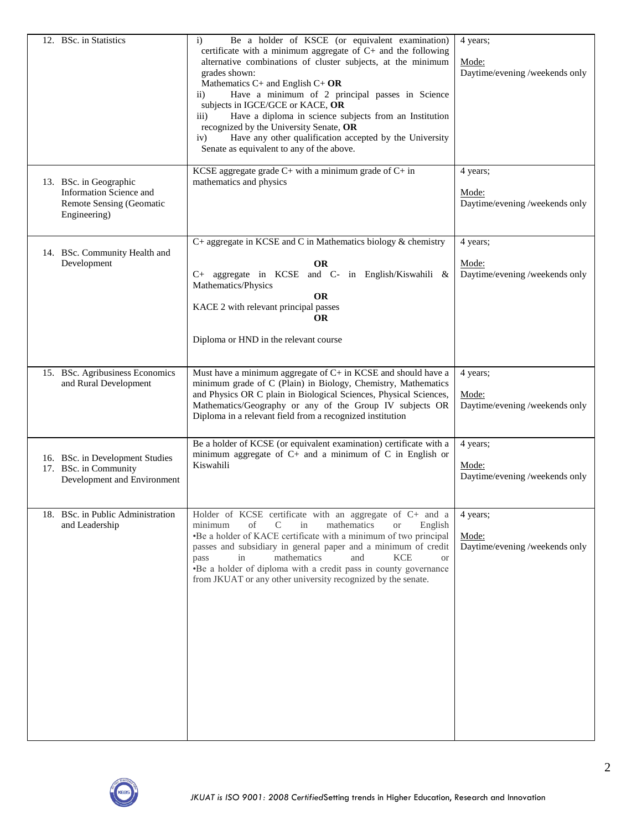| 12. BSc. in Statistics                                                                               | Be a holder of KSCE (or equivalent examination)<br>$\mathbf{i}$<br>certificate with a minimum aggregate of C+ and the following<br>alternative combinations of cluster subjects, at the minimum<br>grades shown:<br>Mathematics $C+$ and English $C+OR$<br>Have a minimum of 2 principal passes in Science<br>$\overline{11}$<br>subjects in IGCE/GCE or KACE, OR<br>Have a diploma in science subjects from an Institution<br>$\overline{111}$ )<br>recognized by the University Senate, OR<br>Have any other qualification accepted by the University<br>iv)<br>Senate as equivalent to any of the above. | 4 years:<br>Mode:<br>Daytime/evening /weekends only |
|------------------------------------------------------------------------------------------------------|-------------------------------------------------------------------------------------------------------------------------------------------------------------------------------------------------------------------------------------------------------------------------------------------------------------------------------------------------------------------------------------------------------------------------------------------------------------------------------------------------------------------------------------------------------------------------------------------------------------|-----------------------------------------------------|
| 13. BSc. in Geographic<br><b>Information Science and</b><br>Remote Sensing (Geomatic<br>Engineering) | KCSE aggregate grade $C+$ with a minimum grade of $C+$ in<br>mathematics and physics                                                                                                                                                                                                                                                                                                                                                                                                                                                                                                                        | 4 years;<br>Mode:<br>Daytime/evening /weekends only |
| 14. BSc. Community Health and<br>Development                                                         | C+ aggregate in KCSE and C in Mathematics biology & chemistry<br><b>OR</b><br>C+ aggregate in KCSE and C- in English/Kiswahili &<br>Mathematics/Physics<br><b>OR</b><br>KACE 2 with relevant principal passes<br><b>OR</b><br>Diploma or HND in the relevant course                                                                                                                                                                                                                                                                                                                                         | 4 years;<br>Mode:<br>Daytime/evening /weekends only |
| 15. BSc. Agribusiness Economics<br>and Rural Development                                             | Must have a minimum aggregate of $C+$ in KCSE and should have a<br>minimum grade of C (Plain) in Biology, Chemistry, Mathematics<br>and Physics OR C plain in Biological Sciences, Physical Sciences,<br>Mathematics/Geography or any of the Group IV subjects OR<br>Diploma in a relevant field from a recognized institution                                                                                                                                                                                                                                                                              | 4 years;<br>Mode:<br>Daytime/evening /weekends only |
| 16. BSc. in Development Studies<br>17. BSc. in Community<br>Development and Environment              | Be a holder of KCSE (or equivalent examination) certificate with a<br>minimum aggregate of $C$ + and a minimum of $C$ in English or<br>Kiswahili                                                                                                                                                                                                                                                                                                                                                                                                                                                            | 4 years;<br>Mode:<br>Daytime/evening /weekends only |
| 18. BSc. in Public Administration<br>and Leadership                                                  | Holder of KCSE certificate with an aggregate of C+ and a<br>minimum<br>of<br>C<br>mathematics<br>English<br>in<br><b>or</b><br>•Be a holder of KACE certificate with a minimum of two principal<br>passes and subsidiary in general paper and a minimum of credit<br>mathematics<br>and<br><b>KCE</b><br>in<br>pass<br><b>or</b><br>•Be a holder of diploma with a credit pass in county governance<br>from JKUAT or any other university recognized by the senate.                                                                                                                                         | 4 years;<br>Mode:<br>Daytime/evening /weekends only |

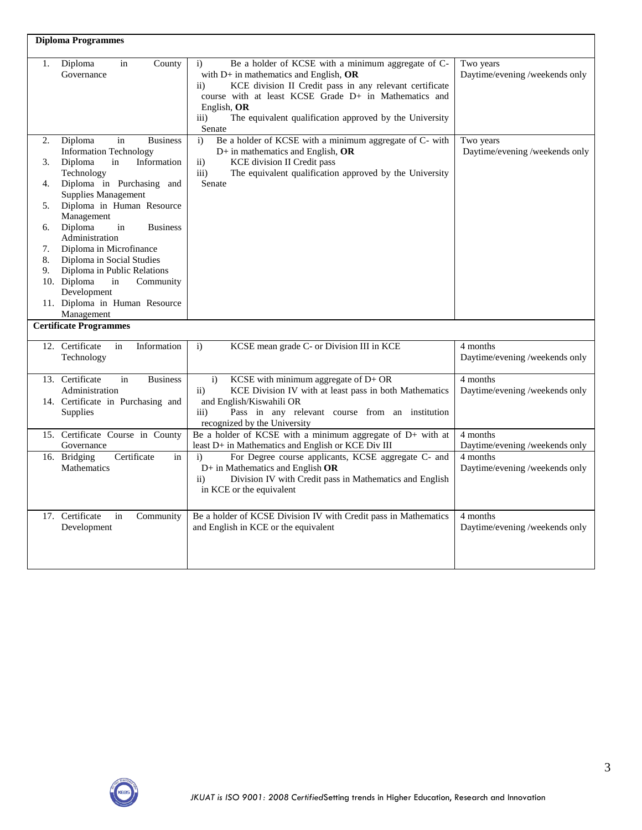|                                              | <b>Diploma Programmes</b>                                                                                                                                                                                                                                                                                                                                                                                                                            |                                                                                                                                                                                                                                                                                                                                                           |                                             |
|----------------------------------------------|------------------------------------------------------------------------------------------------------------------------------------------------------------------------------------------------------------------------------------------------------------------------------------------------------------------------------------------------------------------------------------------------------------------------------------------------------|-----------------------------------------------------------------------------------------------------------------------------------------------------------------------------------------------------------------------------------------------------------------------------------------------------------------------------------------------------------|---------------------------------------------|
| 1.                                           | Diploma<br>County<br>in<br>Governance                                                                                                                                                                                                                                                                                                                                                                                                                | Be a holder of KCSE with a minimum aggregate of C-<br>$\mathbf{i}$<br>with $D+$ in mathematics and English, $OR$<br>KCE division II Credit pass in any relevant certificate<br>$\rm ii)$<br>course with at least KCSE Grade D+ in Mathematics and<br>English, OR<br>$\overline{iii}$<br>The equivalent qualification approved by the University<br>Senate | Two years<br>Daytime/evening /weekends only |
| 2.<br>3.<br>4.<br>5.<br>6.<br>7.<br>8.<br>9. | Diploma<br><b>Business</b><br>in<br><b>Information Technology</b><br>Diploma<br>in<br>Information<br>Technology<br>Diploma in Purchasing and<br><b>Supplies Management</b><br>Diploma in Human Resource<br>Management<br>Diploma<br>in<br><b>Business</b><br>Administration<br>Diploma in Microfinance<br>Diploma in Social Studies<br>Diploma in Public Relations<br>10. Diploma<br>in<br>Community<br>Development<br>11. Diploma in Human Resource | Be a holder of KCSE with a minimum aggregate of C- with<br>$\mathbf{i}$<br>$D+$ in mathematics and English, OR<br><b>KCE</b> division II Credit pass<br>$\mathbf{ii}$<br>The equivalent qualification approved by the University<br>iii)<br>Senate                                                                                                        | Two years<br>Daytime/evening /weekends only |
|                                              | Management<br><b>Certificate Programmes</b>                                                                                                                                                                                                                                                                                                                                                                                                          |                                                                                                                                                                                                                                                                                                                                                           |                                             |
|                                              | Information<br>12. Certificate<br>in<br>Technology                                                                                                                                                                                                                                                                                                                                                                                                   | $\mathbf{i}$<br>KCSE mean grade C- or Division III in KCE                                                                                                                                                                                                                                                                                                 | 4 months<br>Daytime/evening /weekends only  |
|                                              | 13. Certificate<br>in<br><b>Business</b><br>Administration<br>14. Certificate in Purchasing and<br><b>Supplies</b>                                                                                                                                                                                                                                                                                                                                   | KCSE with minimum aggregate of D+ OR<br>$\mathbf{i}$<br>KCE Division IV with at least pass in both Mathematics<br>$\overline{11}$<br>and English/Kiswahili OR<br>Pass in any relevant course from an institution<br>$\overline{iii}$<br>recognized by the University                                                                                      | 4 months<br>Daytime/evening /weekends only  |
|                                              | 15. Certificate Course in County<br>Governance                                                                                                                                                                                                                                                                                                                                                                                                       | Be a holder of KCSE with a minimum aggregate of $D+$ with at<br>least D+ in Mathematics and English or KCE Div III                                                                                                                                                                                                                                        | 4 months<br>Daytime/evening /weekends only  |
|                                              | Certificate<br>16. Bridging<br>in<br>Mathematics                                                                                                                                                                                                                                                                                                                                                                                                     | For Degree course applicants, KCSE aggregate C- and<br>$\mathbf{i}$<br>$D+$ in Mathematics and English OR<br>Division IV with Credit pass in Mathematics and English<br>$\rm ii)$<br>in KCE or the equivalent                                                                                                                                             | 4 months<br>Daytime/evening /weekends only  |
|                                              | 17. Certificate<br>in<br>Community<br>Development                                                                                                                                                                                                                                                                                                                                                                                                    | Be a holder of KCSE Division IV with Credit pass in Mathematics<br>and English in KCE or the equivalent                                                                                                                                                                                                                                                   | 4 months<br>Daytime/evening /weekends only  |

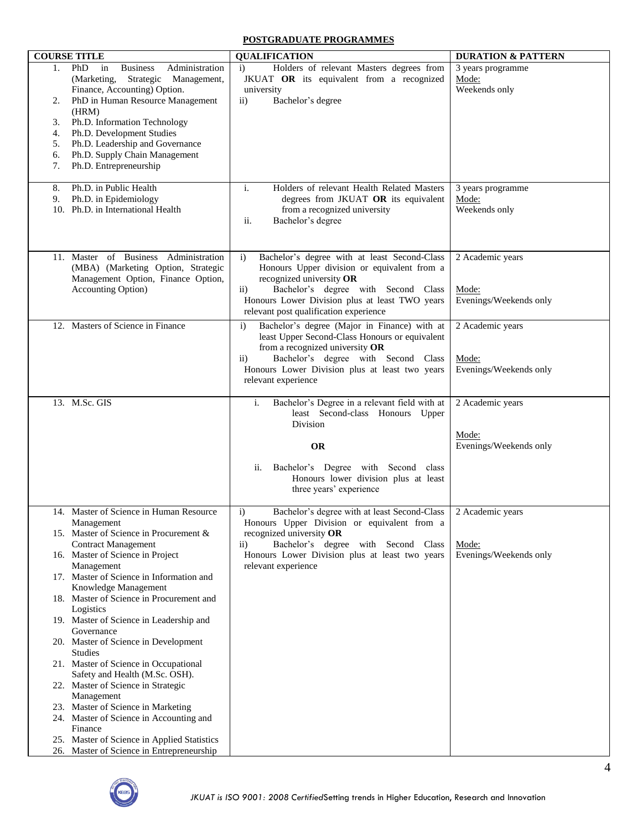## **POSTGRADUATE PROGRAMMES**

|                                        | <b>COURSE TITLE</b>                                                                                                                                                                                                                                                                                                                      | <b>QUALIFICATION</b>                                                                                                                                                                                                                                                                          | <b>DURATION &amp; PATTERN</b>                       |
|----------------------------------------|------------------------------------------------------------------------------------------------------------------------------------------------------------------------------------------------------------------------------------------------------------------------------------------------------------------------------------------|-----------------------------------------------------------------------------------------------------------------------------------------------------------------------------------------------------------------------------------------------------------------------------------------------|-----------------------------------------------------|
| 1.<br>2.<br>3.<br>4.<br>5.<br>6.<br>7. | <b>PhD</b><br><b>Business</b><br>Administration<br>in<br>(Marketing,<br>Strategic<br>Management,<br>Finance, Accounting) Option.<br>PhD in Human Resource Management<br>(HRM)<br>Ph.D. Information Technology<br>Ph.D. Development Studies<br>Ph.D. Leadership and Governance<br>Ph.D. Supply Chain Management<br>Ph.D. Entrepreneurship | Holders of relevant Masters degrees from<br>$\mathbf{i}$<br>JKUAT OR its equivalent from a recognized<br>university<br>Bachelor's degree<br>$\mathbf{ii}$                                                                                                                                     | 3 years programme<br>Mode:<br>Weekends only         |
| 8.<br>9.                               | Ph.D. in Public Health<br>Ph.D. in Epidemiology<br>10. Ph.D. in International Health                                                                                                                                                                                                                                                     | Holders of relevant Health Related Masters<br>$\mathbf{i}$ .<br>degrees from JKUAT OR its equivalent<br>from a recognized university<br>Bachelor's degree<br>ii.                                                                                                                              | 3 years programme<br>Mode:<br>Weekends only         |
|                                        | 11. Master of Business Administration<br>(MBA) (Marketing Option, Strategic<br>Management Option, Finance Option,<br><b>Accounting Option</b> )                                                                                                                                                                                          | Bachelor's degree with at least Second-Class<br>$\ddot{1}$<br>Honours Upper division or equivalent from a<br>recognized university OR<br>Bachelor's degree with Second Class<br>$\overline{11}$ )<br>Honours Lower Division plus at least TWO years<br>relevant post qualification experience | 2 Academic years<br>Mode:<br>Evenings/Weekends only |
|                                        | 12. Masters of Science in Finance                                                                                                                                                                                                                                                                                                        | Bachelor's degree (Major in Finance) with at<br>$\mathbf{i}$<br>least Upper Second-Class Honours or equivalent<br>from a recognized university OR<br>Bachelor's degree with Second Class<br>$\rm ii)$<br>Honours Lower Division plus at least two years<br>relevant experience                | 2 Academic years<br>Mode:<br>Evenings/Weekends only |
|                                        | 13. M.Sc. GIS                                                                                                                                                                                                                                                                                                                            | i.<br>Bachelor's Degree in a relevant field with at<br>least Second-class Honours Upper<br>Division<br><b>OR</b>                                                                                                                                                                              | 2 Academic years<br>Mode:<br>Evenings/Weekends only |
|                                        |                                                                                                                                                                                                                                                                                                                                          | Bachelor's Degree with Second class<br>ii.<br>Honours lower division plus at least<br>three years' experience                                                                                                                                                                                 |                                                     |
|                                        | 14. Master of Science in Human Resource<br>Management<br>15. Master of Science in Procurement &                                                                                                                                                                                                                                          | Bachelor's degree with at least Second-Class<br>$\mathbf{i}$<br>Honours Upper Division or equivalent from a<br>recognized university OR                                                                                                                                                       | 2 Academic years                                    |
|                                        | <b>Contract Management</b><br>16. Master of Science in Project<br>Management                                                                                                                                                                                                                                                             | Bachelor's degree with Second Class<br>$\rm ii)$<br>Honours Lower Division plus at least two years<br>relevant experience                                                                                                                                                                     | Mode:<br>Evenings/Weekends only                     |
|                                        | 17. Master of Science in Information and<br>Knowledge Management<br>18. Master of Science in Procurement and                                                                                                                                                                                                                             |                                                                                                                                                                                                                                                                                               |                                                     |
|                                        | Logistics<br>19. Master of Science in Leadership and                                                                                                                                                                                                                                                                                     |                                                                                                                                                                                                                                                                                               |                                                     |
|                                        | Governance<br>20. Master of Science in Development<br><b>Studies</b>                                                                                                                                                                                                                                                                     |                                                                                                                                                                                                                                                                                               |                                                     |
|                                        | 21. Master of Science in Occupational<br>Safety and Health (M.Sc. OSH).                                                                                                                                                                                                                                                                  |                                                                                                                                                                                                                                                                                               |                                                     |
|                                        | 22. Master of Science in Strategic<br>Management<br>23. Master of Science in Marketing                                                                                                                                                                                                                                                   |                                                                                                                                                                                                                                                                                               |                                                     |
|                                        | 24. Master of Science in Accounting and<br>Finance                                                                                                                                                                                                                                                                                       |                                                                                                                                                                                                                                                                                               |                                                     |
|                                        | 25. Master of Science in Applied Statistics<br>26. Master of Science in Entrepreneurship                                                                                                                                                                                                                                                 |                                                                                                                                                                                                                                                                                               |                                                     |